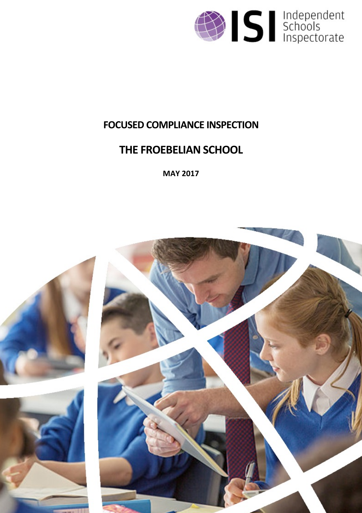

## **FOCUSED COMPLIANCE INSPECTION**

# **THE FROEBELIAN SCHOOL**

**MAY 2017**

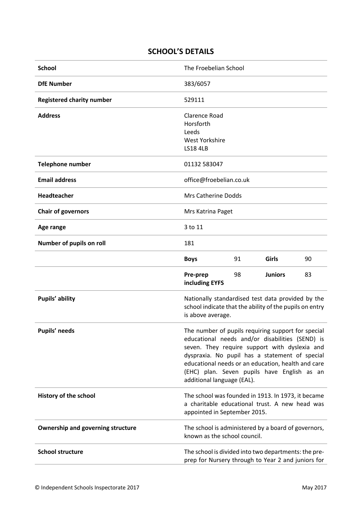## **SCHOOL'S DETAILS**

| <b>School</b>                            | The Froebelian School                                                                                                                                                                                                                                                                                                                       |    |                |    |
|------------------------------------------|---------------------------------------------------------------------------------------------------------------------------------------------------------------------------------------------------------------------------------------------------------------------------------------------------------------------------------------------|----|----------------|----|
| <b>DfE Number</b>                        | 383/6057                                                                                                                                                                                                                                                                                                                                    |    |                |    |
| <b>Registered charity number</b>         | 529111                                                                                                                                                                                                                                                                                                                                      |    |                |    |
| <b>Address</b>                           | Clarence Road<br>Horsforth<br>Leeds<br>West Yorkshire<br><b>LS18 4LB</b>                                                                                                                                                                                                                                                                    |    |                |    |
| <b>Telephone number</b>                  | 01132 583047                                                                                                                                                                                                                                                                                                                                |    |                |    |
| <b>Email address</b>                     | office@froebelian.co.uk                                                                                                                                                                                                                                                                                                                     |    |                |    |
| Headteacher                              | <b>Mrs Catherine Dodds</b>                                                                                                                                                                                                                                                                                                                  |    |                |    |
| <b>Chair of governors</b>                | Mrs Katrina Paget                                                                                                                                                                                                                                                                                                                           |    |                |    |
| Age range                                | 3 to 11                                                                                                                                                                                                                                                                                                                                     |    |                |    |
| Number of pupils on roll                 | 181                                                                                                                                                                                                                                                                                                                                         |    |                |    |
|                                          | <b>Boys</b>                                                                                                                                                                                                                                                                                                                                 | 91 | Girls          | 90 |
|                                          | Pre-prep<br>including EYFS                                                                                                                                                                                                                                                                                                                  | 98 | <b>Juniors</b> | 83 |
| Pupils' ability                          | Nationally standardised test data provided by the<br>school indicate that the ability of the pupils on entry<br>is above average.                                                                                                                                                                                                           |    |                |    |
| Pupils' needs                            | The number of pupils requiring support for special<br>educational needs and/or disabilities (SEND) is<br>seven. They require support with dyslexia and<br>dyspraxia. No pupil has a statement of special<br>educational needs or an education, health and care<br>(EHC) plan. Seven pupils have English as an<br>additional language (EAL). |    |                |    |
| History of the school                    | The school was founded in 1913. In 1973, it became<br>a charitable educational trust. A new head was<br>appointed in September 2015.                                                                                                                                                                                                        |    |                |    |
| <b>Ownership and governing structure</b> | The school is administered by a board of governors,<br>known as the school council.                                                                                                                                                                                                                                                         |    |                |    |
| <b>School structure</b>                  | The school is divided into two departments: the pre-<br>prep for Nursery through to Year 2 and juniors for                                                                                                                                                                                                                                  |    |                |    |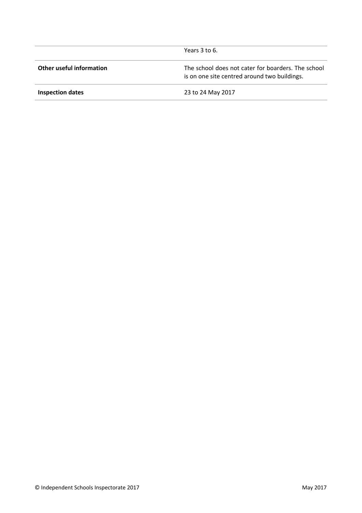|                          | Years 3 to 6.                                                                                      |
|--------------------------|----------------------------------------------------------------------------------------------------|
| Other useful information | The school does not cater for boarders. The school<br>is on one site centred around two buildings. |
| <b>Inspection dates</b>  | 23 to 24 May 2017                                                                                  |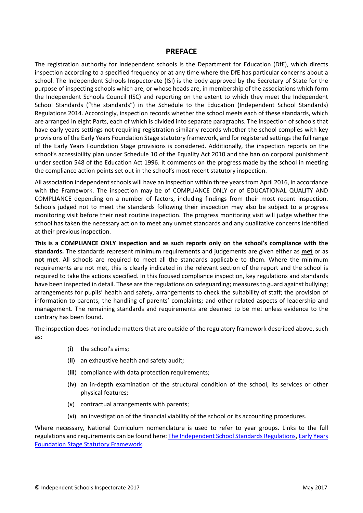#### **PREFACE**

The registration authority for independent schools is the Department for Education (DfE), which directs inspection according to a specified frequency or at any time where the DfE has particular concerns about a school. The Independent Schools Inspectorate (ISI) is the body approved by the Secretary of State for the purpose of inspecting schools which are, or whose heads are, in membership of the associations which form the Independent Schools Council (ISC) and reporting on the extent to which they meet the Independent School Standards ("the standards") in the Schedule to the Education (Independent School Standards) Regulations 2014. Accordingly, inspection records whether the school meets each of these standards, which are arranged in eight Parts, each of which is divided into separate paragraphs. The inspection of schools that have early years settings not requiring registration similarly records whether the school complies with key provisions of the Early Years Foundation Stage statutory framework, and for registered settings the full range of the Early Years Foundation Stage provisions is considered. Additionally, the inspection reports on the school's accessibility plan under Schedule 10 of the Equality Act 2010 and the ban on corporal punishment under section 548 of the Education Act 1996. It comments on the progress made by the school in meeting the compliance action points set out in the school's most recent statutory inspection.

All association independent schools will have an inspection within three years from April 2016, in accordance with the Framework. The inspection may be of COMPLIANCE ONLY or of EDUCATIONAL QUALITY AND COMPLIANCE depending on a number of factors, including findings from their most recent inspection. Schools judged not to meet the standards following their inspection may also be subject to a progress monitoring visit before their next routine inspection. The progress monitoring visit will judge whether the school has taken the necessary action to meet any unmet standards and any qualitative concerns identified at their previous inspection.

**This is a COMPLIANCE ONLY inspection and as such reports only on the school's compliance with the standards.** The standards represent minimum requirements and judgements are given either as **met** or as **not met**. All schools are required to meet all the standards applicable to them. Where the minimum requirements are not met, this is clearly indicated in the relevant section of the report and the school is required to take the actions specified. In this focused compliance inspection, key regulations and standards have been inspected in detail. These are the regulations on safeguarding; measures to guard against bullying; arrangements for pupils' health and safety, arrangements to check the suitability of staff; the provision of information to parents; the handling of parents' complaints; and other related aspects of leadership and management. The remaining standards and requirements are deemed to be met unless evidence to the contrary has been found.

The inspection does not include matters that are outside of the regulatory framework described above, such as:

- (i) the school's aims;
- (ii) an exhaustive health and safety audit;
- (iii) compliance with data protection requirements;
- (iv) an in-depth examination of the structural condition of the school, its services or other physical features;
- (v) contractual arrangements with parents;
- (vi) an investigation of the financial viability of the school or its accounting procedures.

Where necessary, National Curriculum nomenclature is used to refer to year groups. Links to the full regulations and requirements can be found here: The [Independent](http://www.legislation.gov.uk/uksi/2014/3283/contents/made) School Standards Regulations, Early [Years](https://www.gov.uk/government/publications/early-years-foundation-stage-framework--2) [Foundation](https://www.gov.uk/government/publications/early-years-foundation-stage-framework--2) Stage Statutory Framework.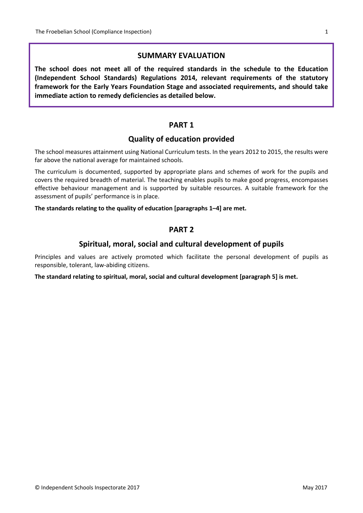#### **SUMMARY EVALUATION**

**The school does not meet all of the required standards in the schedule to the Education (Independent School Standards) Regulations 2014, relevant requirements of the statutory framework for the Early Years Foundation Stage and associated requirements, and should take immediate action to remedy deficiencies as detailed below.**

#### **PART 1**

#### **Quality of education provided**

The school measures attainment using National Curriculum tests. In the years 2012 to 2015, the results were far above the national average for maintained schools.

The curriculum is documented, supported by appropriate plans and schemes of work for the pupils and covers the required breadth of material. The teaching enables pupils to make good progress, encompasses effective behaviour management and is supported by suitable resources. A suitable framework for the assessment of pupils' performance is in place.

**The standards relating to the quality of education [paragraphs 1–4] are met.**

#### **PART 2**

#### **Spiritual, moral, social and cultural development of pupils**

Principles and values are actively promoted which facilitate the personal development of pupils as responsible, tolerant, law-abiding citizens.

**The standard relating to spiritual, moral, social and cultural development [paragraph 5] is met.**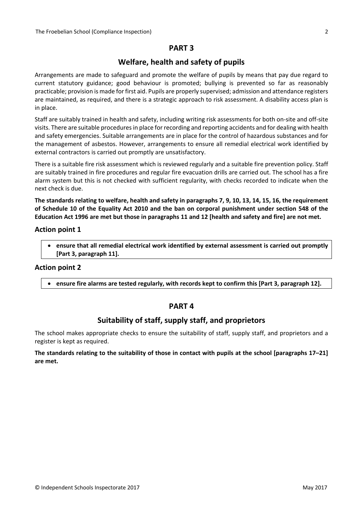## **PART 3**

## **Welfare, health and safety of pupils**

Arrangements are made to safeguard and promote the welfare of pupils by means that pay due regard to current statutory guidance; good behaviour is promoted; bullying is prevented so far as reasonably practicable; provision is made for first aid. Pupils are properly supervised; admission and attendance registers are maintained, as required, and there is a strategic approach to risk assessment. A disability access plan is in place.

Staff are suitably trained in health and safety, including writing risk assessments for both on-site and off-site visits. There are suitable proceduresin place forrecording and reporting accidents and for dealing with health and safety emergencies. Suitable arrangements are in place for the control of hazardous substances and for the management of asbestos. However, arrangements to ensure all remedial electrical work identified by external contractors is carried out promptly are unsatisfactory.

There is a suitable fire risk assessment which is reviewed regularly and a suitable fire prevention policy. Staff are suitably trained in fire procedures and regular fire evacuation drills are carried out. The school has a fire alarm system but this is not checked with sufficient regularity, with checks recorded to indicate when the next check is due.

The standards relating to welfare, health and safety in paragraphs 7, 9, 10, 13, 14, 15, 16, the requirement of Schedule 10 of the Equality Act 2010 and the ban on corporal punishment under section 548 of the Education Act 1996 are met but those in paragraphs 11 and 12 [health and safety and fire] are not met.

#### **Action point 1**

 **ensure that all remedial electrical work identified by external assessment is carried out promptly [Part 3, paragraph 11].**

#### **Action point 2**

**ensure fire alarms are tested regularly, with records kept to confirm this [Part 3, paragraph 12].**

## **PART 4**

## **Suitability of staff, supply staff, and proprietors**

The school makes appropriate checks to ensure the suitability of staff, supply staff, and proprietors and a register is kept as required.

#### The standards relating to the suitability of those in contact with pupils at the school [paragraphs 17-21] **are met.**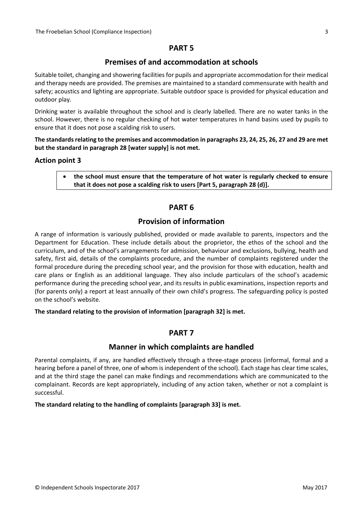## **PART 5**

## **Premises of and accommodation at schools**

Suitable toilet, changing and showering facilities for pupils and appropriate accommodation for their medical and therapy needs are provided. The premises are maintained to a standard commensurate with health and safety; acoustics and lighting are appropriate. Suitable outdoor space is provided for physical education and outdoor play.

Drinking water is available throughout the school and is clearly labelled. There are no water tanks in the school. However, there is no regular checking of hot water temperatures in hand basins used by pupils to ensure that it does not pose a scalding risk to users.

The standards relating to the premises and accommodation in paragraphs 23, 24, 25, 26, 27 and 29 are met **but the standard in paragraph 28 [water supply] is not met.**

#### **Action point 3**

 **the school must ensure that the temperature of hot water is regularly checked to ensure that it does not pose a scalding risk to users [Part 5, paragraph 28 (d)].**

## **PART 6**

## **Provision of information**

A range of information is variously published, provided or made available to parents, inspectors and the Department for Education. These include details about the proprietor, the ethos of the school and the curriculum, and of the school's arrangements for admission, behaviour and exclusions, bullying, health and safety, first aid, details of the complaints procedure, and the number of complaints registered under the formal procedure during the preceding school year, and the provision for those with education, health and care plans or English as an additional language. They also include particulars of the school's academic performance during the preceding school year, and its results in public examinations, inspection reports and (for parents only) a report at least annually of their own child's progress. The safeguarding policy is posted on the school's website.

**The standard relating to the provision of information [paragraph 32] is met.**

## **PART 7**

## **Manner in which complaints are handled**

Parental complaints, if any, are handled effectively through a three-stage process (informal, formal and a hearing before a panel of three, one of whom is independent of the school). Each stage has clear time scales, and at the third stage the panel can make findings and recommendations which are communicated to the complainant. Records are kept appropriately, including of any action taken, whether or not a complaint is successful.

#### **The standard relating to the handling of complaints [paragraph 33] is met.**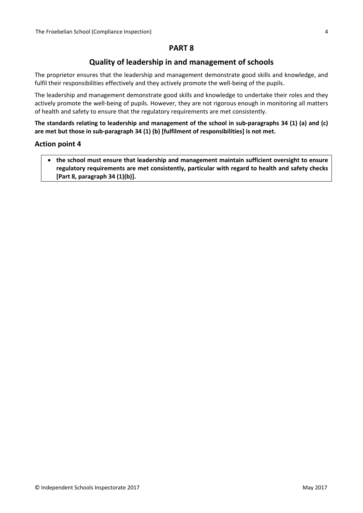## **PART 8**

## **Quality of leadership in and management of schools**

The proprietor ensures that the leadership and management demonstrate good skills and knowledge, and fulfil their responsibilities effectively and they actively promote the well-being of the pupils.

The leadership and management demonstrate good skills and knowledge to undertake their roles and they actively promote the well-being of pupils. However, they are not rigorous enough in monitoring all matters of health and safety to ensure that the regulatory requirements are met consistently.

**The standards relating to leadership and management of the school in sub-paragraphs 34 (1) (a) and (c) are met but those in sub-paragraph 34 (1) (b) [fulfilment of responsibilities] is not met.**

#### **Action point 4**

 **the school must ensure that leadership and management maintain sufficient oversight to ensure regulatory requirements are met consistently, particular with regard to health and safety checks [Part 8, paragraph 34 (1)(b)].**